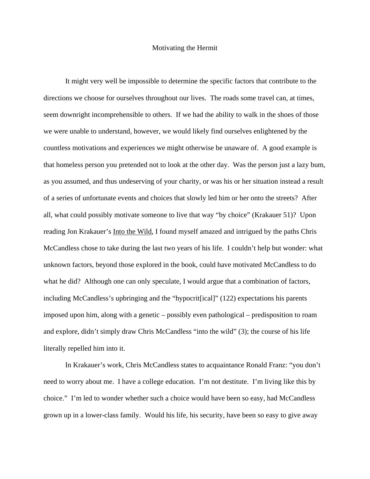## Motivating the Hermit

 It might very well be impossible to determine the specific factors that contribute to the directions we choose for ourselves throughout our lives. The roads some travel can, at times, seem downright incomprehensible to others. If we had the ability to walk in the shoes of those we were unable to understand, however, we would likely find ourselves enlightened by the countless motivations and experiences we might otherwise be unaware of. A good example is that homeless person you pretended not to look at the other day. Was the person just a lazy bum, as you assumed, and thus undeserving of your charity, or was his or her situation instead a result of a series of unfortunate events and choices that slowly led him or her onto the streets? After all, what could possibly motivate someone to live that way "by choice" (Krakauer 51)? Upon reading Jon Krakauer's Into the Wild, I found myself amazed and intrigued by the paths Chris McCandless chose to take during the last two years of his life. I couldn't help but wonder: what unknown factors, beyond those explored in the book, could have motivated McCandless to do what he did? Although one can only speculate, I would argue that a combination of factors, including McCandless's upbringing and the "hypocrit[ical]" (122) expectations his parents imposed upon him, along with a genetic – possibly even pathological – predisposition to roam and explore, didn't simply draw Chris McCandless "into the wild" (3); the course of his life literally repelled him into it.

 In Krakauer's work, Chris McCandless states to acquaintance Ronald Franz: "you don't need to worry about me. I have a college education. I'm not destitute. I'm living like this by choice." I'm led to wonder whether such a choice would have been so easy, had McCandless grown up in a lower-class family. Would his life, his security, have been so easy to give away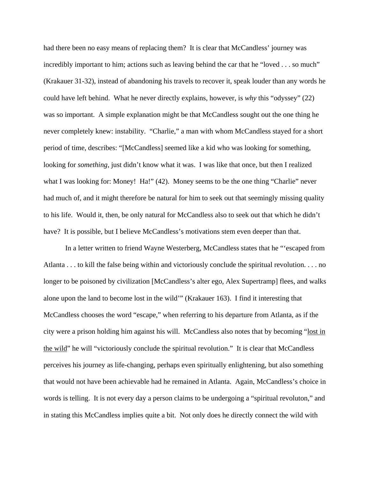had there been no easy means of replacing them? It is clear that McCandless' journey was incredibly important to him; actions such as leaving behind the car that he "loved . . . so much" (Krakauer 31-32), instead of abandoning his travels to recover it, speak louder than any words he could have left behind. What he never directly explains, however, is *why* this "odyssey" (22) was so important. A simple explanation might be that McCandless sought out the one thing he never completely knew: instability. "Charlie," a man with whom McCandless stayed for a short period of time, describes: "[McCandless] seemed like a kid who was looking for something, looking for *something*, just didn't know what it was. I was like that once, but then I realized what I was looking for: Money! Ha!" (42). Money seems to be the one thing "Charlie" never had much of, and it might therefore be natural for him to seek out that seemingly missing quality to his life. Would it, then, be only natural for McCandless also to seek out that which he didn't have? It is possible, but I believe McCandless's motivations stem even deeper than that.

 In a letter written to friend Wayne Westerberg, McCandless states that he "'escaped from Atlanta . . . to kill the false being within and victoriously conclude the spiritual revolution. . . . no longer to be poisoned by civilization [McCandless's alter ego, Alex Supertramp] flees, and walks alone upon the land to become lost in the wild'" (Krakauer 163). I find it interesting that McCandless chooses the word "escape," when referring to his departure from Atlanta, as if the city were a prison holding him against his will. McCandless also notes that by becoming "lost in the wild" he will "victoriously conclude the spiritual revolution." It is clear that McCandless perceives his journey as life-changing, perhaps even spiritually enlightening, but also something that would not have been achievable had he remained in Atlanta. Again, McCandless's choice in words is telling. It is not every day a person claims to be undergoing a "spiritual revoluton," and in stating this McCandless implies quite a bit. Not only does he directly connect the wild with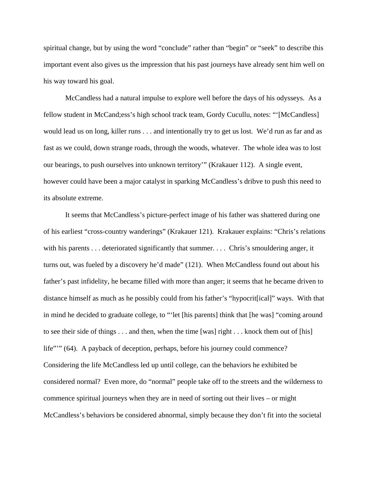spiritual change, but by using the word "conclude" rather than "begin" or "seek" to describe this important event also gives us the impression that his past journeys have already sent him well on his way toward his goal.

 McCandless had a natural impulse to explore well before the days of his odysseys. As a fellow student in McCand;ess's high school track team, Gordy Cucullu, notes: "'[McCandless] would lead us on long, killer runs . . . and intentionally try to get us lost. We'd run as far and as fast as we could, down strange roads, through the woods, whatever. The whole idea was to lost our bearings, to push ourselves into unknown territory'" (Krakauer 112). A single event, however could have been a major catalyst in sparking McCandless's dribve to push this need to its absolute extreme.

 It seems that McCandless's picture-perfect image of his father was shattered during one of his earliest "cross-country wanderings" (Krakauer 121). Krakauer explains: "Chris's relations with his parents . . . deteriorated significantly that summer. . . . Chris's smouldering anger, it turns out, was fueled by a discovery he'd made" (121). When McCandless found out about his father's past infidelity, he became filled with more than anger; it seems that he became driven to distance himself as much as he possibly could from his father's "hypocrit[ical]" ways. With that in mind he decided to graduate college, to "'let [his parents] think that [he was] "coming around to see their side of things . . . and then, when the time [was] right . . . knock them out of [his] life""" (64). A payback of deception, perhaps, before his journey could commence? Considering the life McCandless led up until college, can the behaviors he exhibited be considered normal? Even more, do "normal" people take off to the streets and the wilderness to commence spiritual journeys when they are in need of sorting out their lives – or might McCandless's behaviors be considered abnormal, simply because they don't fit into the societal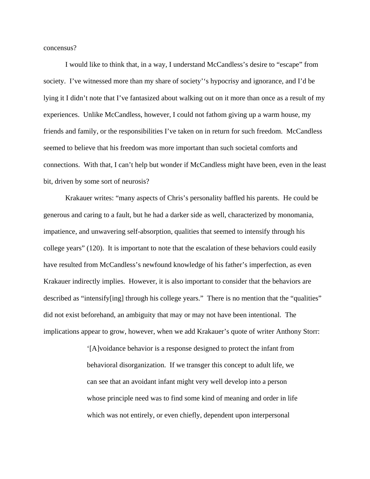concensus?

 I would like to think that, in a way, I understand McCandless's desire to "escape" from society. I've witnessed more than my share of society's hypocrisy and ignorance, and I'd be lying it I didn't note that I've fantasized about walking out on it more than once as a result of my experiences. Unlike McCandless, however, I could not fathom giving up a warm house, my friends and family, or the responsibilities I've taken on in return for such freedom. McCandless seemed to believe that his freedom was more important than such societal comforts and connections. With that, I can't help but wonder if McCandless might have been, even in the least bit, driven by some sort of neurosis?

 Krakauer writes: "many aspects of Chris's personality baffled his parents. He could be generous and caring to a fault, but he had a darker side as well, characterized by monomania, impatience, and unwavering self-absorption, qualities that seemed to intensify through his college years" (120). It is important to note that the escalation of these behaviors could easily have resulted from McCandless's newfound knowledge of his father's imperfection, as even Krakauer indirectly implies. However, it is also important to consider that the behaviors are described as "intensify[ing] through his college years." There is no mention that the "qualities" did not exist beforehand, an ambiguity that may or may not have been intentional. The implications appear to grow, however, when we add Krakauer's quote of writer Anthony Storr:

> '[A]voidance behavior is a response designed to protect the infant from behavioral disorganization. If we transger this concept to adult life, we can see that an avoidant infant might very well develop into a person whose principle need was to find some kind of meaning and order in life which was not entirely, or even chiefly, dependent upon interpersonal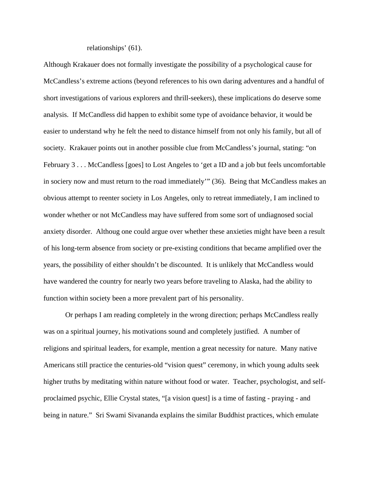relationships' (61).

Although Krakauer does not formally investigate the possibility of a psychological cause for McCandless's extreme actions (beyond references to his own daring adventures and a handful of short investigations of various explorers and thrill-seekers), these implications do deserve some analysis. If McCandless did happen to exhibit some type of avoidance behavior, it would be easier to understand why he felt the need to distance himself from not only his family, but all of society. Krakauer points out in another possible clue from McCandless's journal, stating: "on February 3 . . . McCandless [goes] to Lost Angeles to 'get a ID and a job but feels uncomfortable in sociery now and must return to the road immediately'" (36). Being that McCandless makes an obvious attempt to reenter society in Los Angeles, only to retreat immediately, I am inclined to wonder whether or not McCandless may have suffered from some sort of undiagnosed social anxiety disorder. Althoug one could argue over whether these anxieties might have been a result of his long-term absence from society or pre-existing conditions that became amplified over the years, the possibility of either shouldn't be discounted. It is unlikely that McCandless would have wandered the country for nearly two years before traveling to Alaska, had the ability to function within society been a more prevalent part of his personality.

 Or perhaps I am reading completely in the wrong direction; perhaps McCandless really was on a spiritual journey, his motivations sound and completely justified. A number of religions and spiritual leaders, for example, mention a great necessity for nature. Many native Americans still practice the centuries-old "vision quest" ceremony, in which young adults seek higher truths by meditating within nature without food or water. Teacher, psychologist, and selfproclaimed psychic, Ellie Crystal states, "[a vision quest] is a time of fasting - praying - and being in nature." Sri Swami Sivananda explains the similar Buddhist practices, which emulate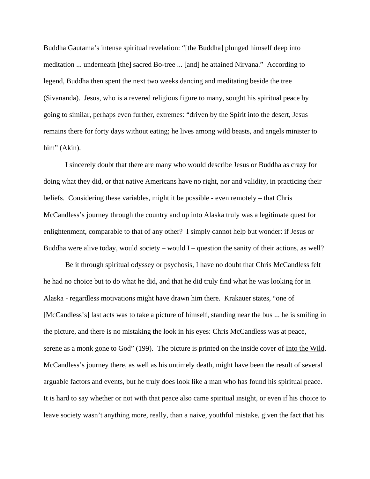Buddha Gautama's intense spiritual revelation: "[the Buddha] plunged himself deep into meditation ... underneath [the] sacred Bo-tree ... [and] he attained Nirvana." According to legend, Buddha then spent the next two weeks dancing and meditating beside the tree (Sivananda). Jesus, who is a revered religious figure to many, sought his spiritual peace by going to similar, perhaps even further, extremes: "driven by the Spirit into the desert, Jesus remains there for forty days without eating; he lives among wild beasts, and angels minister to him" (Akin).

 I sincerely doubt that there are many who would describe Jesus or Buddha as crazy for doing what they did, or that native Americans have no right, nor and validity, in practicing their beliefs. Considering these variables, might it be possible - even remotely – that Chris McCandless's journey through the country and up into Alaska truly was a legitimate quest for enlightenment, comparable to that of any other? I simply cannot help but wonder: if Jesus or Buddha were alive today, would society – would  $I$  – question the sanity of their actions, as well?

 Be it through spiritual odyssey or psychosis, I have no doubt that Chris McCandless felt he had no choice but to do what he did, and that he did truly find what he was looking for in Alaska - regardless motivations might have drawn him there. Krakauer states, "one of [McCandless's] last acts was to take a picture of himself, standing near the bus ... he is smiling in the picture, and there is no mistaking the look in his eyes: Chris McCandless was at peace, serene as a monk gone to God" (199). The picture is printed on the inside cover of Into the Wild. McCandless's journey there, as well as his untimely death, might have been the result of several arguable factors and events, but he truly does look like a man who has found his spiritual peace. It is hard to say whether or not with that peace also came spiritual insight, or even if his choice to leave society wasn't anything more, really, than a naive, youthful mistake, given the fact that his